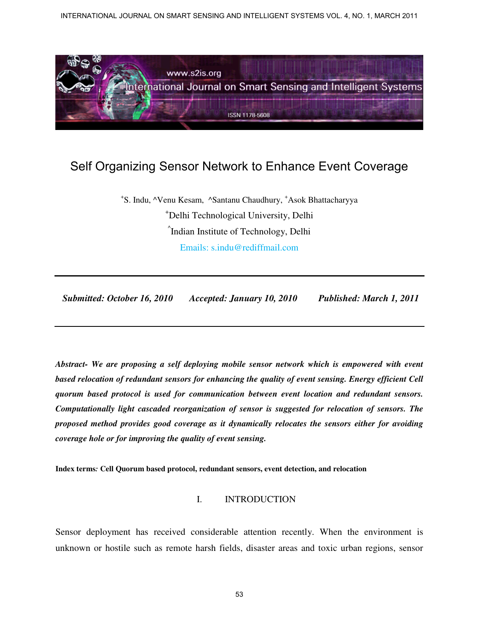INTERNATIONAL JOURNAL ON SMART SENSING AND INTELLIGENT SYSTEMS VOL. 4, NO. 1, MARCH 2011



# Self Organizing Sensor Network to Enhance Event Coverage

+ S. Indu, ^Venu Kesam, ^Santanu Chaudhury, <sup>+</sup>Asok Bhattacharyya <sup>+</sup>Delhi Technological University, Delhi ^ Indian Institute of Technology, Delhi Emails: s.indu@rediffmail.com

 *Submitted: October 16, 2010 Accepted: January 10, 2010 Published: March 1, 2011* 

*Abstract- We are proposing a self deploying mobile sensor network which is empowered with event based relocation of redundant sensors for enhancing the quality of event sensing. Energy efficient Cell quorum based protocol is used for communication between event location and redundant sensors. Computationally light cascaded reorganization of sensor is suggested for relocation of sensors. The proposed method provides good coverage as it dynamically relocates the sensors either for avoiding coverage hole or for improving the quality of event sensing.*

**Index terms***:* **Cell Quorum based protocol, redundant sensors, event detection, and relocation**

#### I. INTRODUCTION

Sensor deployment has received considerable attention recently. When the environment is unknown or hostile such as remote harsh fields, disaster areas and toxic urban regions, sensor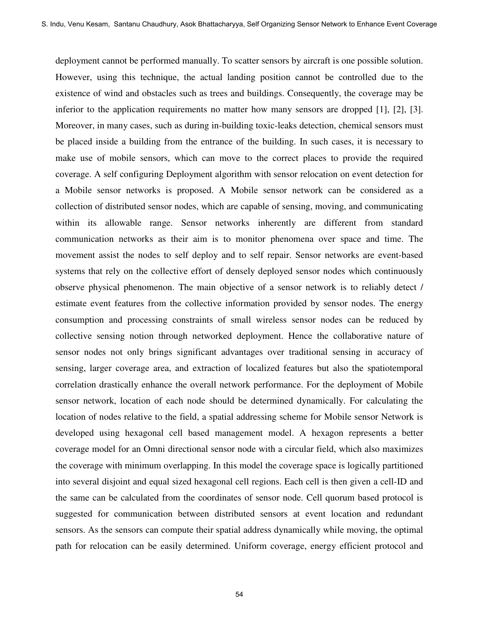deployment cannot be performed manually. To scatter sensors by aircraft is one possible solution. However, using this technique, the actual landing position cannot be controlled due to the existence of wind and obstacles such as trees and buildings. Consequently, the coverage may be inferior to the application requirements no matter how many sensors are dropped [1], [2], [3]. Moreover, in many cases, such as during in-building toxic-leaks detection, chemical sensors must be placed inside a building from the entrance of the building. In such cases, it is necessary to make use of mobile sensors, which can move to the correct places to provide the required coverage. A self configuring Deployment algorithm with sensor relocation on event detection for a Mobile sensor networks is proposed. A Mobile sensor network can be considered as a collection of distributed sensor nodes, which are capable of sensing, moving, and communicating within its allowable range. Sensor networks inherently are different from standard communication networks as their aim is to monitor phenomena over space and time. The movement assist the nodes to self deploy and to self repair. Sensor networks are event-based systems that rely on the collective effort of densely deployed sensor nodes which continuously observe physical phenomenon. The main objective of a sensor network is to reliably detect / estimate event features from the collective information provided by sensor nodes. The energy consumption and processing constraints of small wireless sensor nodes can be reduced by collective sensing notion through networked deployment. Hence the collaborative nature of sensor nodes not only brings significant advantages over traditional sensing in accuracy of sensing, larger coverage area, and extraction of localized features but also the spatiotemporal correlation drastically enhance the overall network performance. For the deployment of Mobile sensor network, location of each node should be determined dynamically. For calculating the location of nodes relative to the field, a spatial addressing scheme for Mobile sensor Network is developed using hexagonal cell based management model. A hexagon represents a better coverage model for an Omni directional sensor node with a circular field, which also maximizes the coverage with minimum overlapping. In this model the coverage space is logically partitioned into several disjoint and equal sized hexagonal cell regions. Each cell is then given a cell-ID and the same can be calculated from the coordinates of sensor node. Cell quorum based protocol is suggested for communication between distributed sensors at event location and redundant sensors. As the sensors can compute their spatial address dynamically while moving, the optimal path for relocation can be easily determined. Uniform coverage, energy efficient protocol and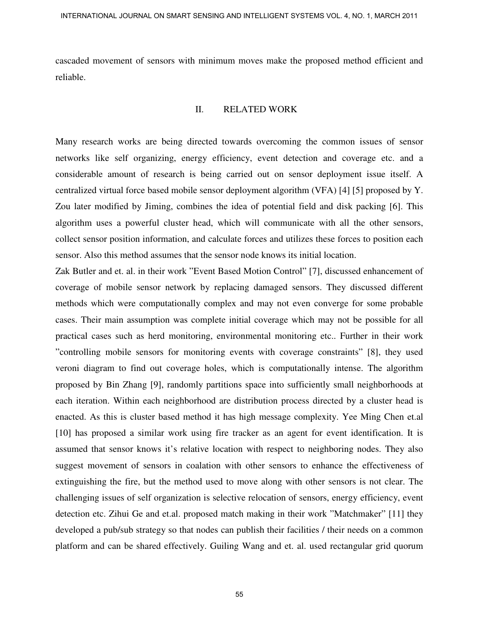cascaded movement of sensors with minimum moves make the proposed method efficient and reliable.

#### II. RELATED WORK

Many research works are being directed towards overcoming the common issues of sensor networks like self organizing, energy efficiency, event detection and coverage etc. and a considerable amount of research is being carried out on sensor deployment issue itself. A centralized virtual force based mobile sensor deployment algorithm (VFA) [4] [5] proposed by Y. Zou later modified by Jiming, combines the idea of potential field and disk packing [6]. This algorithm uses a powerful cluster head, which will communicate with all the other sensors, collect sensor position information, and calculate forces and utilizes these forces to position each sensor. Also this method assumes that the sensor node knows its initial location.

Zak Butler and et. al. in their work "Event Based Motion Control" [7], discussed enhancement of coverage of mobile sensor network by replacing damaged sensors. They discussed different methods which were computationally complex and may not even converge for some probable cases. Their main assumption was complete initial coverage which may not be possible for all practical cases such as herd monitoring, environmental monitoring etc.. Further in their work "controlling mobile sensors for monitoring events with coverage constraints" [8], they used veroni diagram to find out coverage holes, which is computationally intense. The algorithm proposed by Bin Zhang [9], randomly partitions space into sufficiently small neighborhoods at each iteration. Within each neighborhood are distribution process directed by a cluster head is enacted. As this is cluster based method it has high message complexity. Yee Ming Chen et.al [10] has proposed a similar work using fire tracker as an agent for event identification. It is assumed that sensor knows it's relative location with respect to neighboring nodes. They also suggest movement of sensors in coalation with other sensors to enhance the effectiveness of extinguishing the fire, but the method used to move along with other sensors is not clear. The challenging issues of self organization is selective relocation of sensors, energy efficiency, event detection etc. Zihui Ge and et.al. proposed match making in their work "Matchmaker" [11] they developed a pub/sub strategy so that nodes can publish their facilities / their needs on a common platform and can be shared effectively. Guiling Wang and et. al. used rectangular grid quorum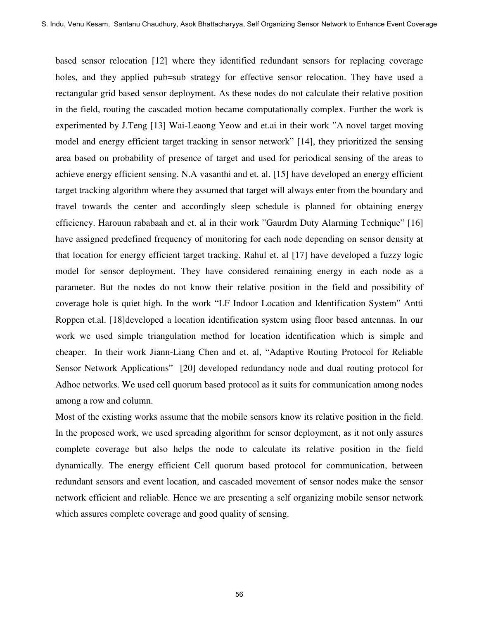based sensor relocation [12] where they identified redundant sensors for replacing coverage holes, and they applied pub=sub strategy for effective sensor relocation. They have used a rectangular grid based sensor deployment. As these nodes do not calculate their relative position in the field, routing the cascaded motion became computationally complex. Further the work is experimented by J.Teng [13] Wai-Leaong Yeow and et.ai in their work "A novel target moving model and energy efficient target tracking in sensor network" [14], they prioritized the sensing area based on probability of presence of target and used for periodical sensing of the areas to achieve energy efficient sensing. N.A vasanthi and et. al. [15] have developed an energy efficient target tracking algorithm where they assumed that target will always enter from the boundary and travel towards the center and accordingly sleep schedule is planned for obtaining energy efficiency. Harouun rababaah and et. al in their work "Gaurdm Duty Alarming Technique" [16] have assigned predefined frequency of monitoring for each node depending on sensor density at that location for energy efficient target tracking. Rahul et. al [17] have developed a fuzzy logic model for sensor deployment. They have considered remaining energy in each node as a parameter. But the nodes do not know their relative position in the field and possibility of coverage hole is quiet high. In the work "LF Indoor Location and Identification System" Antti Roppen et.al. [18]developed a location identification system using floor based antennas. In our work we used simple triangulation method for location identification which is simple and cheaper. In their work Jiann-Liang Chen and et. al, "Adaptive Routing Protocol for Reliable Sensor Network Applications" [20] developed redundancy node and dual routing protocol for Adhoc networks. We used cell quorum based protocol as it suits for communication among nodes among a row and column.

Most of the existing works assume that the mobile sensors know its relative position in the field. In the proposed work, we used spreading algorithm for sensor deployment, as it not only assures complete coverage but also helps the node to calculate its relative position in the field dynamically. The energy efficient Cell quorum based protocol for communication, between redundant sensors and event location, and cascaded movement of sensor nodes make the sensor network efficient and reliable. Hence we are presenting a self organizing mobile sensor network which assures complete coverage and good quality of sensing.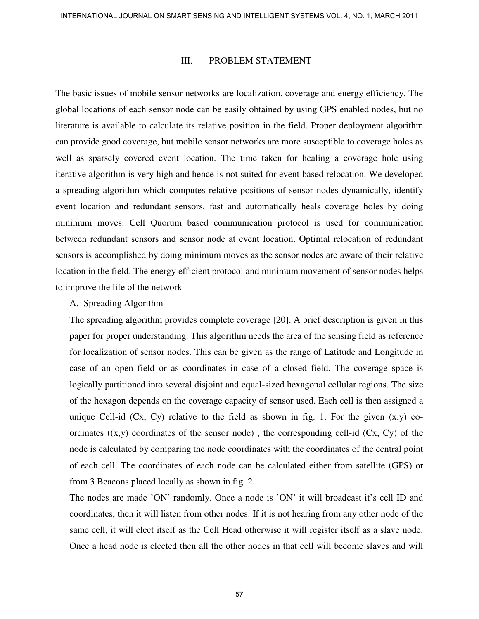## III. PROBLEM STATEMENT

The basic issues of mobile sensor networks are localization, coverage and energy efficiency. The global locations of each sensor node can be easily obtained by using GPS enabled nodes, but no literature is available to calculate its relative position in the field. Proper deployment algorithm can provide good coverage, but mobile sensor networks are more susceptible to coverage holes as well as sparsely covered event location. The time taken for healing a coverage hole using iterative algorithm is very high and hence is not suited for event based relocation. We developed a spreading algorithm which computes relative positions of sensor nodes dynamically, identify event location and redundant sensors, fast and automatically heals coverage holes by doing minimum moves. Cell Quorum based communication protocol is used for communication between redundant sensors and sensor node at event location. Optimal relocation of redundant sensors is accomplished by doing minimum moves as the sensor nodes are aware of their relative location in the field. The energy efficient protocol and minimum movement of sensor nodes helps to improve the life of the network

#### A. Spreading Algorithm

The spreading algorithm provides complete coverage [20]. A brief description is given in this paper for proper understanding. This algorithm needs the area of the sensing field as reference for localization of sensor nodes. This can be given as the range of Latitude and Longitude in case of an open field or as coordinates in case of a closed field. The coverage space is logically partitioned into several disjoint and equal-sized hexagonal cellular regions. The size of the hexagon depends on the coverage capacity of sensor used. Each cell is then assigned a unique Cell-id  $(Cx, Cy)$  relative to the field as shown in fig. 1. For the given  $(x,y)$  coordinates  $((x,y)$  coordinates of the sensor node), the corresponding cell-id  $(Cx, Cy)$  of the node is calculated by comparing the node coordinates with the coordinates of the central point of each cell. The coordinates of each node can be calculated either from satellite (GPS) or from 3 Beacons placed locally as shown in fig. 2.

The nodes are made 'ON' randomly. Once a node is 'ON' it will broadcast it's cell ID and coordinates, then it will listen from other nodes. If it is not hearing from any other node of the same cell, it will elect itself as the Cell Head otherwise it will register itself as a slave node. Once a head node is elected then all the other nodes in that cell will become slaves and will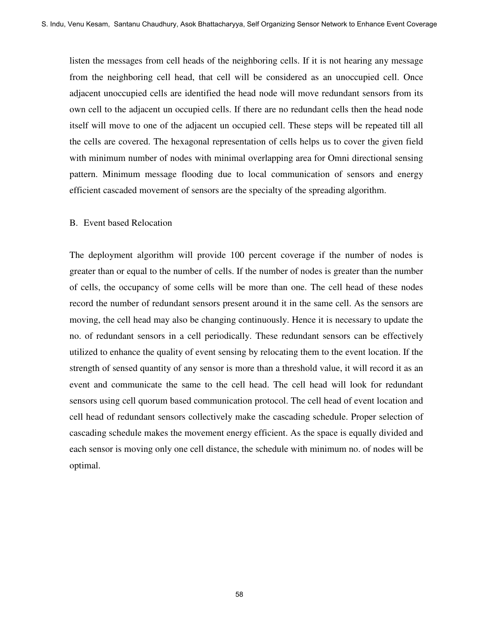listen the messages from cell heads of the neighboring cells. If it is not hearing any message from the neighboring cell head, that cell will be considered as an unoccupied cell. Once adjacent unoccupied cells are identified the head node will move redundant sensors from its own cell to the adjacent un occupied cells. If there are no redundant cells then the head node itself will move to one of the adjacent un occupied cell. These steps will be repeated till all the cells are covered. The hexagonal representation of cells helps us to cover the given field with minimum number of nodes with minimal overlapping area for Omni directional sensing pattern. Minimum message flooding due to local communication of sensors and energy efficient cascaded movement of sensors are the specialty of the spreading algorithm.

#### B. Event based Relocation

The deployment algorithm will provide 100 percent coverage if the number of nodes is greater than or equal to the number of cells. If the number of nodes is greater than the number of cells, the occupancy of some cells will be more than one. The cell head of these nodes record the number of redundant sensors present around it in the same cell. As the sensors are moving, the cell head may also be changing continuously. Hence it is necessary to update the no. of redundant sensors in a cell periodically. These redundant sensors can be effectively utilized to enhance the quality of event sensing by relocating them to the event location. If the strength of sensed quantity of any sensor is more than a threshold value, it will record it as an event and communicate the same to the cell head. The cell head will look for redundant sensors using cell quorum based communication protocol. The cell head of event location and cell head of redundant sensors collectively make the cascading schedule. Proper selection of cascading schedule makes the movement energy efficient. As the space is equally divided and each sensor is moving only one cell distance, the schedule with minimum no. of nodes will be optimal.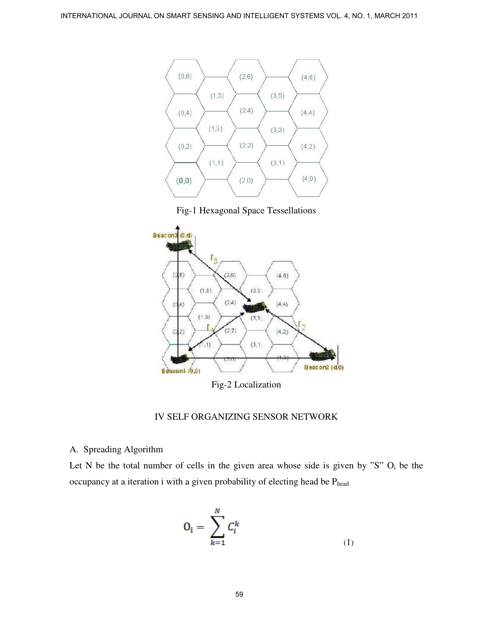

Fig-1 Hexagonal Space Tessellations



Fig-2 Localization

# IV SELF ORGANIZING SENSOR NETWORK

# A. Spreading Algorithm

Let N be the total number of cells in the given area whose side is given by "S"  $O_i$  be the occupancy at a iteration i with a given probability of electing head be Phead

$$
\mathbf{O_i} = \sum_{k=1}^{N} \mathbf{C}^k_i \tag{1}
$$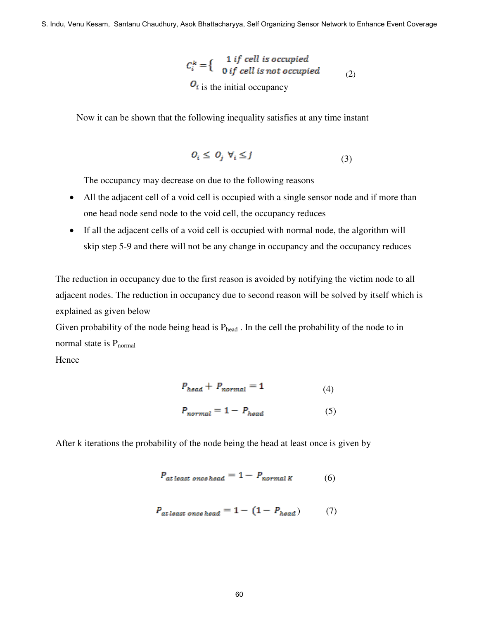$$
C_i^k = \begin{cases} 1 & \text{if cell is occupied} \\ 0 & \text{if cell is not occupied} \end{cases} \tag{2}
$$
  

$$
O_i \text{ is the initial occupancy}
$$

Now it can be shown that the following inequality satisfies at any time instant

$$
O_i \leq O_j \ \forall_i \leq j \tag{3}
$$

The occupancy may decrease on due to the following reasons

- All the adjacent cell of a void cell is occupied with a single sensor node and if more than one head node send node to the void cell, the occupancy reduces
- If all the adjacent cells of a void cell is occupied with normal node, the algorithm will skip step 5-9 and there will not be any change in occupancy and the occupancy reduces

The reduction in occupancy due to the first reason is avoided by notifying the victim node to all adjacent nodes. The reduction in occupancy due to second reason will be solved by itself which is explained as given below

Given probability of the node being head is  $P_{head}$ . In the cell the probability of the node to in normal state is  $P_{normal}$ 

Hence

$$
P_{head} + P_{normal} = 1 \tag{4}
$$

$$
P_{normal} = 1 - P_{head} \tag{5}
$$

After k iterations the probability of the node being the head at least once is given by

$$
P_{at\ least\ ones\ head} = 1 - P_{normal\ K} \tag{6}
$$

$$
P_{at least\ ones\ head} = 1 - (1 - P_{head}) \tag{7}
$$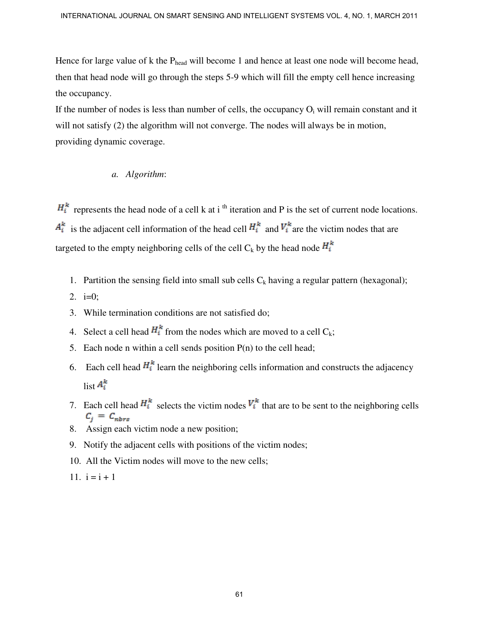Hence for large value of k the Phead will become 1 and hence at least one node will become head, then that head node will go through the steps 5-9 which will fill the empty cell hence increasing the occupancy.

If the number of nodes is less than number of cells, the occupancy  $O_i$  will remain constant and it will not satisfy (2) the algorithm will not converge. The nodes will always be in motion, providing dynamic coverage.

# *a. Algorithm*:

 $H_i^k$  represents the head node of a cell k at i<sup>th</sup> iteration and P is the set of current node locations.  $A_i^k$  is the adjacent cell information of the head cell  $H_i^k$  and  $V_i^k$  are the victim nodes that are targeted to the empty neighboring cells of the cell C<sub>k</sub> by the head node  $H_i^k$ 

- 1. Partition the sensing field into small sub cells  $C_k$  having a regular pattern (hexagonal);
- 2.  $i=0$ ;
- 3. While termination conditions are not satisfied do;
- 4. Select a cell head  $H_i^k$  from the nodes which are moved to a cell  $C_k$ ;
- 5. Each node n within a cell sends position  $P(n)$  to the cell head;
- 6. Each cell head  $H_i^k$  learn the neighboring cells information and constructs the adjacency list  $A_i^k$
- 7. Each cell head  $H_i^k$  selects the victim nodes  $V_i^k$  that are to be sent to the neighboring cells
- 8. Assign each victim node a new position;
- 9. Notify the adjacent cells with positions of the victim nodes;
- 10. All the Victim nodes will move to the new cells;
- 11.  $i = i + 1$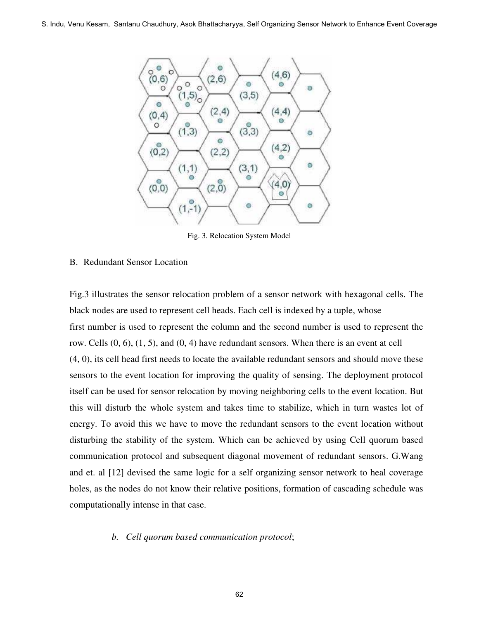

Fig. 3. Relocation System Model

#### B. Redundant Sensor Location

Fig.3 illustrates the sensor relocation problem of a sensor network with hexagonal cells. The black nodes are used to represent cell heads. Each cell is indexed by a tuple, whose first number is used to represent the column and the second number is used to represent the row. Cells  $(0, 6)$ ,  $(1, 5)$ , and  $(0, 4)$  have redundant sensors. When there is an event at cell (4, 0), its cell head first needs to locate the available redundant sensors and should move these sensors to the event location for improving the quality of sensing. The deployment protocol itself can be used for sensor relocation by moving neighboring cells to the event location. But this will disturb the whole system and takes time to stabilize, which in turn wastes lot of energy. To avoid this we have to move the redundant sensors to the event location without disturbing the stability of the system. Which can be achieved by using Cell quorum based communication protocol and subsequent diagonal movement of redundant sensors. G.Wang and et. al [12] devised the same logic for a self organizing sensor network to heal coverage holes, as the nodes do not know their relative positions, formation of cascading schedule was computationally intense in that case.

#### *b. Cell quorum based communication protocol*;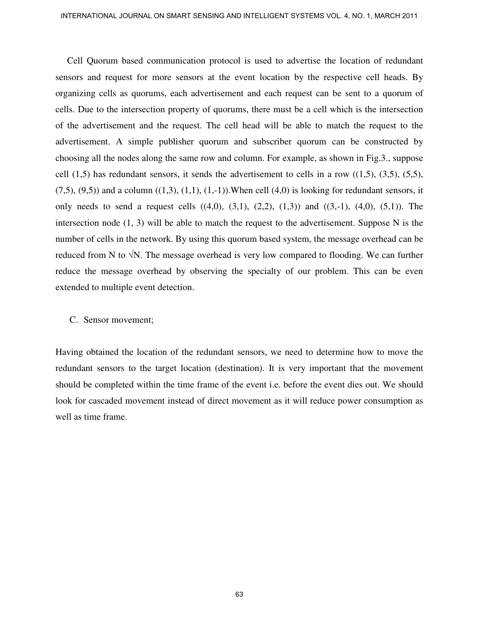Cell Quorum based communication protocol is used to advertise the location of redundant sensors and request for more sensors at the event location by the respective cell heads. By organizing cells as quorums, each advertisement and each request can be sent to a quorum of cells. Due to the intersection property of quorums, there must be a cell which is the intersection of the advertisement and the request. The cell head will be able to match the request to the advertisement. A simple publisher quorum and subscriber quorum can be constructed by choosing all the nodes along the same row and column. For example, as shown in Fig.3., suppose cell  $(1,5)$  has redundant sensors, it sends the advertisement to cells in a row  $((1,5), (3,5), (5,5),$  $(7,5)$ ,  $(9,5)$ ) and a column  $((1,3), (1,1), (1,-1))$ . When cell  $(4,0)$  is looking for redundant sensors, it only needs to send a request cells  $((4,0), (3,1), (2,2), (1,3))$  and  $((3,-1), (4,0), (5,1))$ . The intersection node (1, 3) will be able to match the request to the advertisement. Suppose N is the number of cells in the network. By using this quorum based system, the message overhead can be reduced from N to  $\sqrt{N}$ . The message overhead is very low compared to flooding. We can further reduce the message overhead by observing the specialty of our problem. This can be even extended to multiple event detection.

#### C. Sensor movement;

Having obtained the location of the redundant sensors, we need to determine how to move the redundant sensors to the target location (destination). It is very important that the movement should be completed within the time frame of the event i.e. before the event dies out. We should look for cascaded movement instead of direct movement as it will reduce power consumption as well as time frame.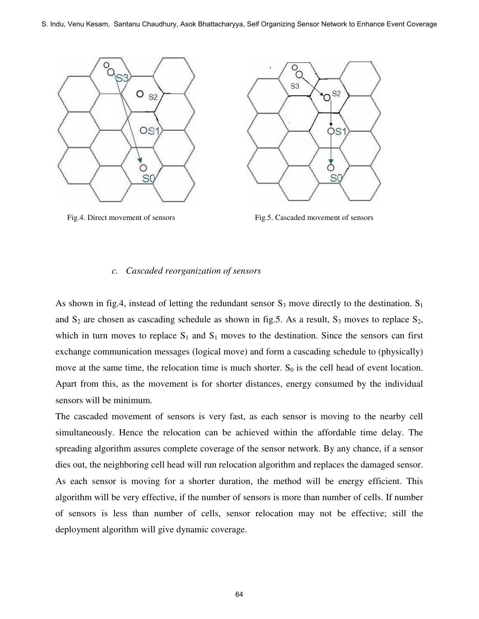



#### *c. Cascaded reorganization of sensors*

As shown in fig.4, instead of letting the redundant sensor  $S_3$  move directly to the destination.  $S_1$ and  $S_2$  are chosen as cascading schedule as shown in fig.5. As a result,  $S_3$  moves to replace  $S_2$ , which in turn moves to replace  $S_1$  and  $S_1$  moves to the destination. Since the sensors can first exchange communication messages (logical move) and form a cascading schedule to (physically) move at the same time, the relocation time is much shorter.  $S_0$  is the cell head of event location. Apart from this, as the movement is for shorter distances, energy consumed by the individual sensors will be minimum.

The cascaded movement of sensors is very fast, as each sensor is moving to the nearby cell simultaneously. Hence the relocation can be achieved within the affordable time delay. The spreading algorithm assures complete coverage of the sensor network. By any chance, if a sensor dies out, the neighboring cell head will run relocation algorithm and replaces the damaged sensor. As each sensor is moving for a shorter duration, the method will be energy efficient. This algorithm will be very effective, if the number of sensors is more than number of cells. If number of sensors is less than number of cells, sensor relocation may not be effective; still the deployment algorithm will give dynamic coverage.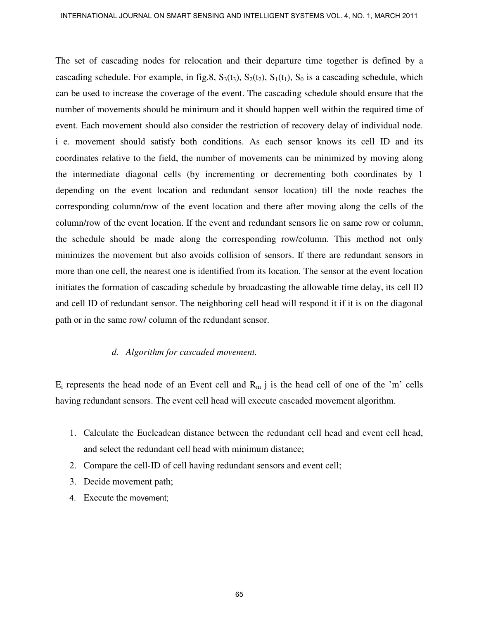The set of cascading nodes for relocation and their departure time together is defined by a cascading schedule. For example, in fig.8,  $S_3(t_3)$ ,  $S_2(t_2)$ ,  $S_1(t_1)$ ,  $S_0$  is a cascading schedule, which can be used to increase the coverage of the event. The cascading schedule should ensure that the number of movements should be minimum and it should happen well within the required time of event. Each movement should also consider the restriction of recovery delay of individual node. i e. movement should satisfy both conditions. As each sensor knows its cell ID and its coordinates relative to the field, the number of movements can be minimized by moving along the intermediate diagonal cells (by incrementing or decrementing both coordinates by 1 depending on the event location and redundant sensor location) till the node reaches the corresponding column/row of the event location and there after moving along the cells of the column/row of the event location. If the event and redundant sensors lie on same row or column, the schedule should be made along the corresponding row/column. This method not only minimizes the movement but also avoids collision of sensors. If there are redundant sensors in more than one cell, the nearest one is identified from its location. The sensor at the event location initiates the formation of cascading schedule by broadcasting the allowable time delay, its cell ID and cell ID of redundant sensor. The neighboring cell head will respond it if it is on the diagonal path or in the same row/ column of the redundant sensor.

# *d. Algorithm for cascaded movement.*

 $E_i$  represents the head node of an Event cell and  $R_m$  j is the head cell of one of the 'm' cells having redundant sensors. The event cell head will execute cascaded movement algorithm.

- 1. Calculate the Eucleadean distance between the redundant cell head and event cell head, and select the redundant cell head with minimum distance;
- 2. Compare the cell-ID of cell having redundant sensors and event cell;
- 3. Decide movement path;
- 4. Execute the movement;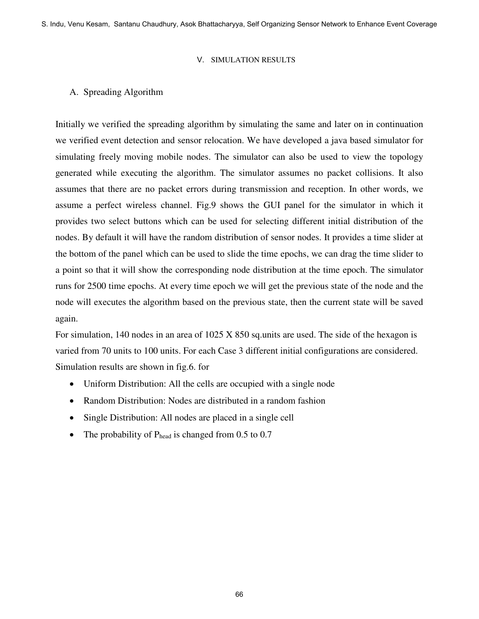S. Indu, Venu Kesam, Santanu Chaudhury, Asok Bhattacharyya, Self Organizing Sensor Network to Enhance Event Coverage

#### V. SIMULATION RESULTS

# A. Spreading Algorithm

Initially we verified the spreading algorithm by simulating the same and later on in continuation we verified event detection and sensor relocation. We have developed a java based simulator for simulating freely moving mobile nodes. The simulator can also be used to view the topology generated while executing the algorithm. The simulator assumes no packet collisions. It also assumes that there are no packet errors during transmission and reception. In other words, we assume a perfect wireless channel. Fig.9 shows the GUI panel for the simulator in which it provides two select buttons which can be used for selecting different initial distribution of the nodes. By default it will have the random distribution of sensor nodes. It provides a time slider at the bottom of the panel which can be used to slide the time epochs, we can drag the time slider to a point so that it will show the corresponding node distribution at the time epoch. The simulator runs for 2500 time epochs. At every time epoch we will get the previous state of the node and the node will executes the algorithm based on the previous state, then the current state will be saved again.

For simulation, 140 nodes in an area of 1025 X 850 sq.units are used. The side of the hexagon is varied from 70 units to 100 units. For each Case 3 different initial configurations are considered. Simulation results are shown in fig.6. for

- Uniform Distribution: All the cells are occupied with a single node
- Random Distribution: Nodes are distributed in a random fashion
- Single Distribution: All nodes are placed in a single cell
- The probability of  $P_{head}$  is changed from 0.5 to 0.7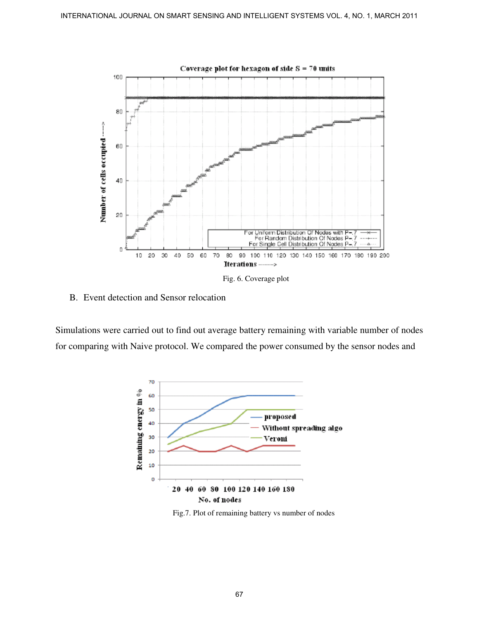

Fig. 6. Coverage plot

B. Event detection and Sensor relocation

Simulations were carried out to find out average battery remaining with variable number of nodes for comparing with Naive protocol. We compared the power consumed by the sensor nodes and



Fig.7. Plot of remaining battery vs number of nodes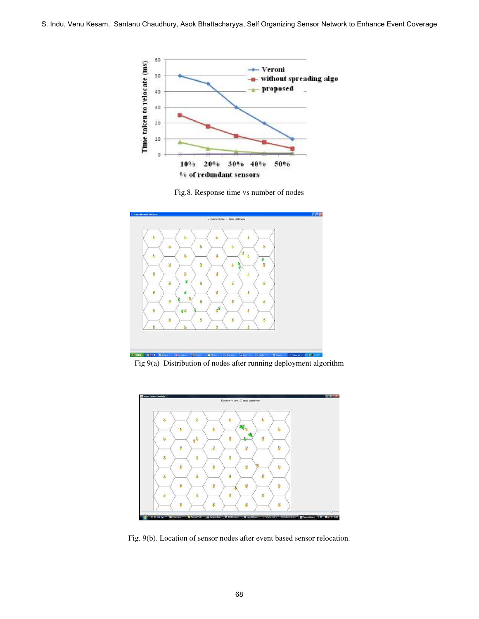





Fig 9(a) Distribution of nodes after running deployment algorithm



Fig. 9(b). Location of sensor nodes after event based sensor relocation.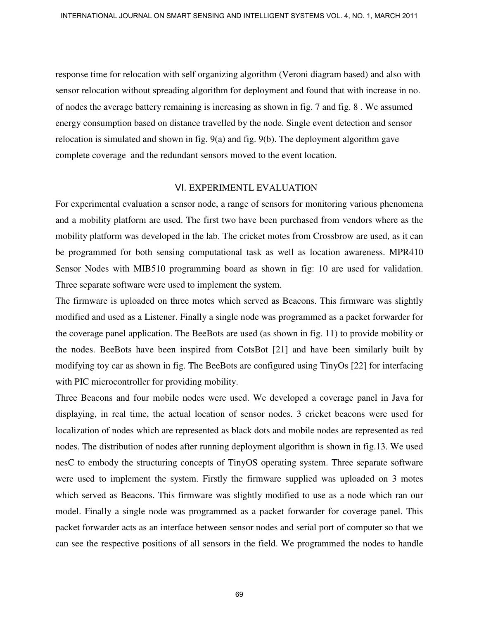response time for relocation with self organizing algorithm (Veroni diagram based) and also with sensor relocation without spreading algorithm for deployment and found that with increase in no. of nodes the average battery remaining is increasing as shown in fig. 7 and fig. 8 . We assumed energy consumption based on distance travelled by the node. Single event detection and sensor relocation is simulated and shown in fig. 9(a) and fig. 9(b). The deployment algorithm gave complete coverage and the redundant sensors moved to the event location.

#### VI. EXPERIMENTL EVALUATION

For experimental evaluation a sensor node, a range of sensors for monitoring various phenomena and a mobility platform are used. The first two have been purchased from vendors where as the mobility platform was developed in the lab. The cricket motes from Crossbrow are used, as it can be programmed for both sensing computational task as well as location awareness. MPR410 Sensor Nodes with MIB510 programming board as shown in fig: 10 are used for validation. Three separate software were used to implement the system.

The firmware is uploaded on three motes which served as Beacons. This firmware was slightly modified and used as a Listener. Finally a single node was programmed as a packet forwarder for the coverage panel application. The BeeBots are used (as shown in fig. 11) to provide mobility or the nodes. BeeBots have been inspired from CotsBot [21] and have been similarly built by modifying toy car as shown in fig. The BeeBots are configured using TinyOs [22] for interfacing with PIC microcontroller for providing mobility.

Three Beacons and four mobile nodes were used. We developed a coverage panel in Java for displaying, in real time, the actual location of sensor nodes. 3 cricket beacons were used for localization of nodes which are represented as black dots and mobile nodes are represented as red nodes. The distribution of nodes after running deployment algorithm is shown in fig.13. We used nesC to embody the structuring concepts of TinyOS operating system. Three separate software were used to implement the system. Firstly the firmware supplied was uploaded on 3 motes which served as Beacons. This firmware was slightly modified to use as a node which ran our model. Finally a single node was programmed as a packet forwarder for coverage panel. This packet forwarder acts as an interface between sensor nodes and serial port of computer so that we can see the respective positions of all sensors in the field. We programmed the nodes to handle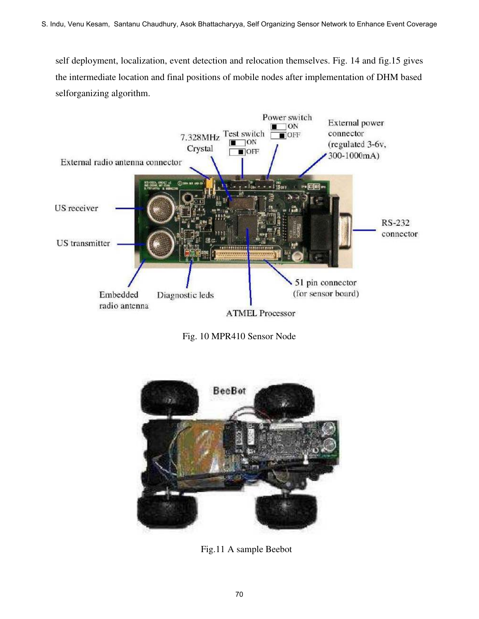self deployment, localization, event detection and relocation themselves. Fig. 14 and fig.15 gives the intermediate location and final positions of mobile nodes after implementation of DHM based selforganizing algorithm.







Fig.11 A sample Beebot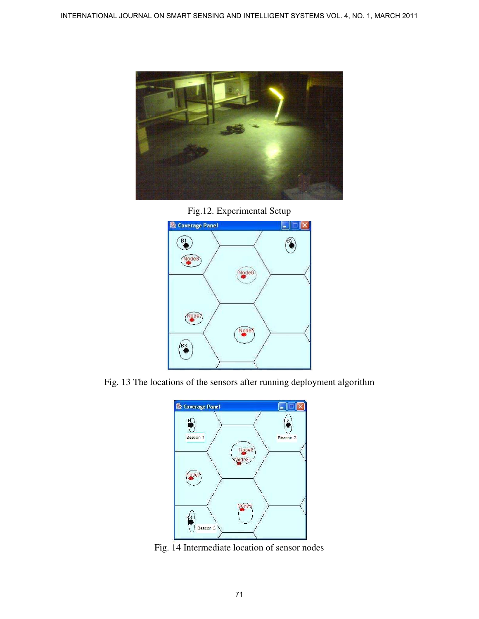

Fig.12. Experimental Setup



Fig. 13 The locations of the sensors after running deployment algorithm



Fig. 14 Intermediate location of sensor nodes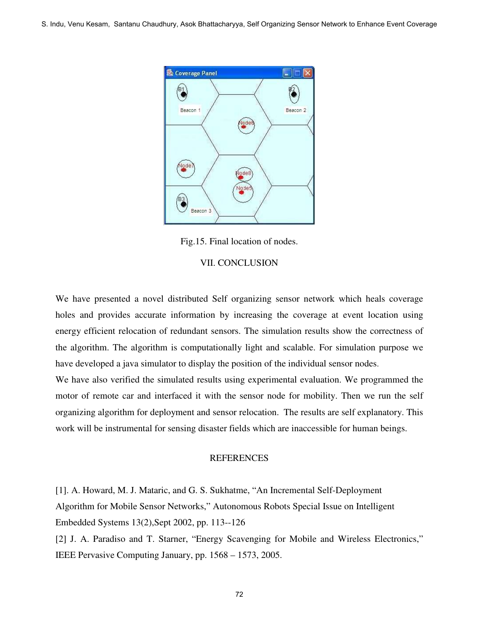

Fig.15. Final location of nodes.

## VII. CONCLUSION

We have presented a novel distributed Self organizing sensor network which heals coverage holes and provides accurate information by increasing the coverage at event location using energy efficient relocation of redundant sensors. The simulation results show the correctness of the algorithm. The algorithm is computationally light and scalable. For simulation purpose we have developed a java simulator to display the position of the individual sensor nodes.

We have also verified the simulated results using experimental evaluation. We programmed the motor of remote car and interfaced it with the sensor node for mobility. Then we run the self organizing algorithm for deployment and sensor relocation. The results are self explanatory. This work will be instrumental for sensing disaster fields which are inaccessible for human beings.

# **REFERENCES**

[1]. A. Howard, M. J. Mataric, and G. S. Sukhatme, "An Incremental Self-Deployment Algorithm for Mobile Sensor Networks," Autonomous Robots Special Issue on Intelligent Embedded Systems 13(2),Sept 2002, pp. 113--126

[2] J. A. Paradiso and T. Starner, "Energy Scavenging for Mobile and Wireless Electronics," IEEE Pervasive Computing January, pp. 1568 – 1573, 2005.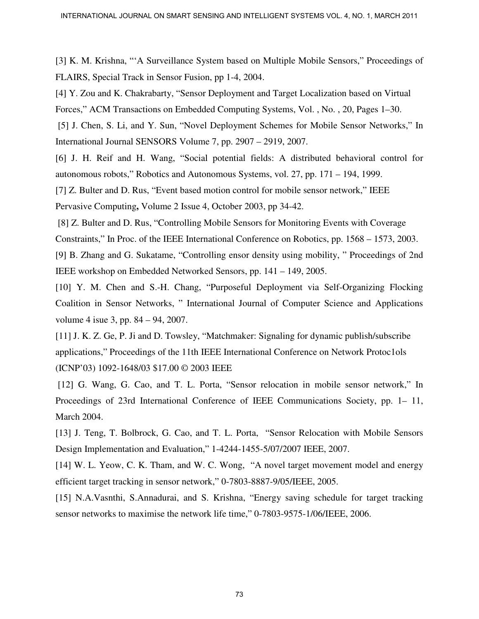[3] K. M. Krishna, "'A Surveillance System based on Multiple Mobile Sensors," Proceedings of FLAIRS, Special Track in Sensor Fusion, pp 1-4, 2004.

[4] Y. Zou and K. Chakrabarty, "Sensor Deployment and Target Localization based on Virtual Forces," ACM Transactions on Embedded Computing Systems, Vol. , No. , 20, Pages 1–30.

[5] J. Chen, S. Li, and Y. Sun, "Novel Deployment Schemes for Mobile Sensor Networks," In International Journal SENSORS Volume 7, pp. 2907 – 2919, 2007.

[6] J. H. Reif and H. Wang, "Social potential fields: A distributed behavioral control for autonomous robots," Robotics and Autonomous Systems, vol. 27, pp. 171 – 194, 1999.

[7] Z. Bulter and D. Rus, "Event based motion control for mobile sensor network," IEEE Pervasive Computing**,** Volume 2 Issue 4, October 2003, pp 34-42.

 [8] Z. Bulter and D. Rus, "Controlling Mobile Sensors for Monitoring Events with Coverage Constraints," In Proc. of the IEEE International Conference on Robotics, pp. 1568 – 1573, 2003. [9] B. Zhang and G. Sukatame, "Controlling ensor density using mobility, " Proceedings of 2nd IEEE workshop on Embedded Networked Sensors, pp. 141 – 149, 2005.

[10] Y. M. Chen and S.-H. Chang, "Purposeful Deployment via Self-Organizing Flocking Coalition in Sensor Networks, " International Journal of Computer Science and Applications volume 4 isue 3, pp. 84 – 94, 2007.

[11] J. K. Z. Ge, P. Ji and D. Towsley, "Matchmaker: Signaling for dynamic publish/subscribe applications," Proceedings of the 11th IEEE International Conference on Network Protoc1ols (ICNP'03) 1092-1648/03 \$17.00 © 2003 IEEE

[12] G. Wang, G. Cao, and T. L. Porta, "Sensor relocation in mobile sensor network," In Proceedings of 23rd International Conference of IEEE Communications Society, pp. 1– 11, March 2004.

[13] J. Teng, T. Bolbrock, G. Cao, and T. L. Porta, "Sensor Relocation with Mobile Sensors Design Implementation and Evaluation," 1-4244-1455-5/07/2007 IEEE, 2007.

[14] W. L. Yeow, C. K. Tham, and W. C. Wong, "A novel target movement model and energy efficient target tracking in sensor network," 0-7803-8887-9/05/IEEE, 2005.

[15] N.A.Vasnthi, S.Annadurai, and S. Krishna, "Energy saving schedule for target tracking sensor networks to maximise the network life time," 0-7803-9575-1/06/IEEE, 2006.